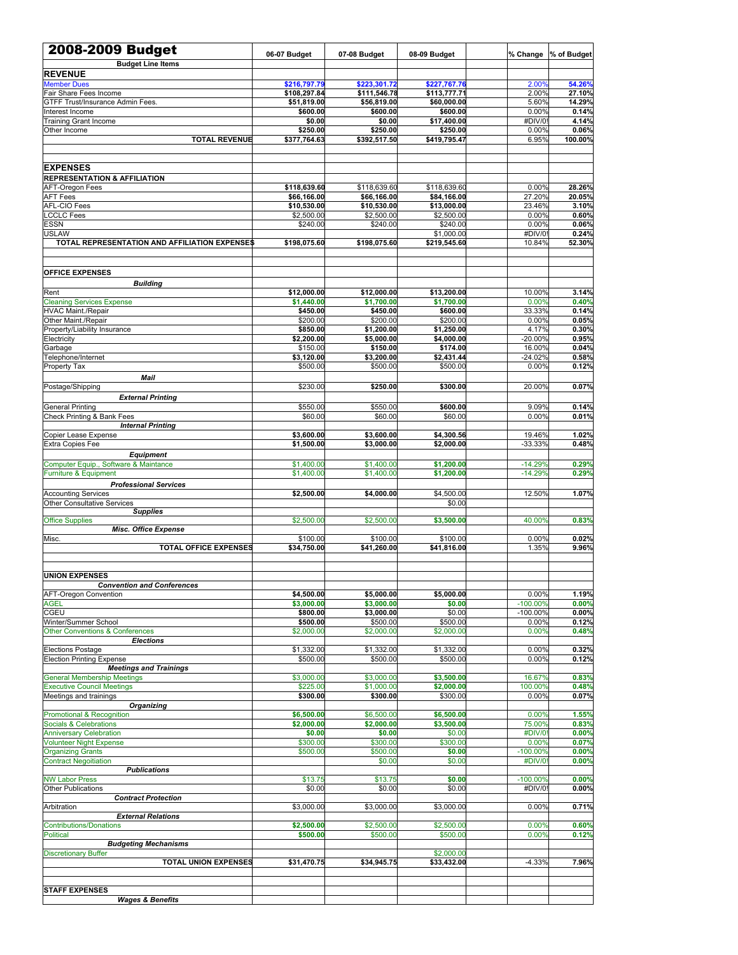| 2008-2009 Budget<br><b>Budget Line Items</b>                 | 06-07 Budget            | 07-08 Budget            | 08-09 Budget            | % Change        | % of Budget    |
|--------------------------------------------------------------|-------------------------|-------------------------|-------------------------|-----------------|----------------|
| <b>REVENUE</b>                                               |                         |                         |                         |                 |                |
| <b>Member Dues</b>                                           | \$216,797.79            | \$223,301.72            | \$227,767.76            | 2.00%           | 54.26%         |
| Fair Share Fees Income                                       | \$108,297.84            | \$111,546.78            | \$113,777.71            | 2.00%           | 27.10%         |
| GTFF Trust/Insurance Admin Fees.                             | \$51,819.00             | \$56,819.00             | \$60,000.00             | 5.60%           | 14.29%         |
| Interest Income                                              | \$600.00                | \$600.00                | \$600.00                | 0.00%           | 0.14%          |
| <b>Training Grant Income</b>                                 | \$0.00<br>\$250.00      | \$0.00<br>\$250.00      | \$17,400.00<br>\$250.00 | #DIV/0<br>0.00% | 4.14%<br>0.06% |
| Other Income<br><b>TOTAL REVENUE</b>                         | \$377,764.63            | \$392,517.50            | \$419,795.47            | 6.95%           | 100.00%        |
|                                                              |                         |                         |                         |                 |                |
| <b>EXPENSES</b>                                              |                         |                         |                         |                 |                |
| <b>REPRESENTATION &amp; AFFILIATION</b>                      |                         |                         |                         |                 |                |
| AFT-Oregon Fees                                              | \$118,639.60            | \$118,639.60            | \$118,639.60            | 0.00%           | 28.26%         |
| <b>AFT Fees</b>                                              | \$66,166.00             | \$66,166.00             | \$84,166.00             | 27.20%          | 20.05%         |
| AFL-CIO Fees                                                 | \$10,530.00             | \$10,530.00             | \$13,000.00             | 23.46%          | 3.10%          |
| <b>LCCLC Fees</b>                                            | \$2,500.00              | \$2,500.00              | \$2,500.00              | 0.00%           | 0.60%          |
| <b>ESSN</b>                                                  | \$240.00                | \$240.00                | \$240.00                | 0.00%           | 0.06%          |
| <b>USLAW</b>                                                 |                         |                         | \$1,000.00              | #DIV/0          | 0.24%          |
| TOTAL REPRESENTATION AND AFFILIATION EXPENSE\$               | \$198,075.60            | \$198,075.60            | \$219,545.60            | 10.84%          | 52.30%         |
| <b>OFFICE EXPENSES</b>                                       |                         |                         |                         |                 |                |
| <b>Building</b>                                              |                         |                         |                         |                 |                |
| Rent                                                         | \$12,000.00             | \$12,000.00             | \$13,200.00             | 10.00%          | 3.14%          |
| <b>Cleaning Services Expense</b>                             | \$1,440.00              | \$1,700.00              | \$1,700.00              | 0.00%           | 0.40%          |
| <b>HVAC Maint./Repair</b>                                    | \$450.00                | \$450.00                | \$600.00                | 33.33%          | 0.14%          |
| Other Maint./Repair                                          | \$200.00                | \$200.00                | \$200.00                | 0.00%           | 0.05%          |
| Property/Liability Insurance                                 | \$850.00                | \$1,200.00              | \$1,250.00              | 4.17%           | 0.30%          |
| Electricity                                                  | \$2,200.00              | \$5,000.00              | \$4,000.00              | $-20.00%$       | 0.95%          |
| Garbage                                                      | \$150.00                | \$150.00                | \$174.00                | 16.00%          | 0.04%          |
| Telephone/Internet                                           | \$3,120.00              | \$3,200.00              | \$2,431.44              | $-24.02%$       | 0.58%          |
| Property Tax                                                 | \$500.00                | \$500.00                | \$500.00                | 0.00%           | 0.12%          |
| Mail                                                         |                         |                         |                         |                 |                |
| Postage/Shipping                                             | \$230.00                | \$250.00                | \$300.00                | 20.00%          | 0.07%          |
| <b>External Printing</b>                                     |                         |                         |                         |                 |                |
| <b>General Printing</b><br>Check Printing & Bank Fees        | \$550.00<br>\$60.00     | \$550.00<br>\$60.00     | \$600.00<br>\$60.00     | 9.09%<br>0.00%  | 0.14%<br>0.01% |
| <b>Internal Printing</b>                                     |                         |                         |                         |                 |                |
| Copier Lease Expense                                         | \$3,600.00              | \$3,600.00              | \$4,300.56              | 19.46%          | 1.02%          |
| Extra Copies Fee                                             | \$1,500.00              | \$3,000.00              | \$2,000.00              | $-33.33%$       | 0.48%          |
| <b>Equipment</b>                                             |                         |                         |                         |                 |                |
| Computer Equip., Software & Maintance                        | \$1,400.00              | \$1,400.00              | \$1,200.00              | $-14.29%$       | 0.29%          |
| Furniture & Equipment                                        | \$1,400.00              | \$1,400.00              | \$1,200.00              | $-14.29%$       | 0.29%          |
| <b>Professional Services</b>                                 |                         |                         |                         |                 |                |
| <b>Accounting Services</b>                                   | \$2,500.00              | \$4,000.00              | \$4,500.00              | 12.50%          | 1.07%          |
| <b>Other Consultative Services</b>                           |                         |                         | \$0.00                  |                 |                |
| <b>Supplies</b>                                              |                         |                         |                         |                 |                |
| <b>Office Supplies</b>                                       | \$2,500.00              | \$2,500.00              | \$3,500.00              | 40.00%          | 0.83%          |
| Misc. Office Expense                                         |                         |                         |                         |                 |                |
| Misc.<br><b>TOTAL OFFICE EXPENSES</b>                        | \$100.00<br>\$34,750.00 | \$100.00<br>\$41,260.00 | \$100.00<br>\$41,816.00 | 0.00%<br>1.35%  | 0.02%<br>9.96% |
|                                                              |                         |                         |                         |                 |                |
| <b>UNION EXPENSES</b>                                        |                         |                         |                         |                 |                |
| <b>Convention and Conferences</b>                            |                         |                         |                         |                 |                |
| <b>AFT-Oregon Convention</b>                                 | \$4,500.00              | \$5,000.00              | \$5,000.00              | 0.00%           | 1.19%          |
| <b>AGEL</b>                                                  | \$3,000.00              | \$3,000.00              | \$0.00                  | $-100.00%$      | 0.00%          |
| CGEU                                                         | \$800.00                | \$3,000.00              | \$0.00                  | $-100.00%$      | 0.00%          |
| Winter/Summer School                                         | \$500.00                | \$500.00                | \$500.00                | 0.00%           | 0.12%          |
| Other Conventions & Conferences                              | \$2,000.00              | \$2,000.00              | \$2,000.00              | 0.00%           | 0.48%          |
| <b>Elections</b>                                             |                         |                         |                         |                 |                |
| <b>Elections Postage</b><br><b>Election Printing Expense</b> | \$1,332.00<br>\$500.00  | \$1,332.00<br>\$500.00  | \$1,332.00<br>\$500.00  | 0.00%<br>0.00%  | 0.32%<br>0.12% |
| <b>Meetings and Trainings</b>                                |                         |                         |                         |                 |                |
| <b>General Membership Meetings</b>                           | \$3,000.00              | \$3,000.00              | \$3,500.00              | 16.67%          | 0.83%          |
| <b>Executive Council Meetings</b>                            | \$225.00                | \$1,000.00              | \$2,000.00              | 100.00%         | 0.48%          |
| Meetings and trainings                                       | \$300.00                | \$300.00                | \$300.00                | 0.00%           | 0.07%          |
| Organizing                                                   |                         |                         |                         |                 |                |
| Promotional & Recognition                                    | \$6,500.00              | \$6,500.00              | \$6,500.00              | 0.00%           | 1.55%          |
| Socials & Celebrations                                       | \$2,000.00              | \$2,000.00              | \$3,500.00              | 75.00%          | 0.83%          |
| <b>Anniversary Celebration</b>                               | \$0.00<br>\$300.00      | \$0.00<br>\$300.00      | \$0.00<br>\$300.00      | #DIV/0<br>0.00% | 0.00%<br>0.07% |
| <b>Volunteer Night Expense</b><br><b>Organizing Grants</b>   | \$500.00                | \$500.00                | \$0.00                  | $-100.00%$      | 0.00%          |
| <b>Contract Negoitiation</b>                                 |                         | \$0.00                  | \$0.00                  | #DIV/0          | 0.00%          |
| <b>Publications</b>                                          |                         |                         |                         |                 |                |
| <b>NW Labor Press</b>                                        | \$13.75                 | \$13.75                 | \$0.00                  | $-100.00%$      | 0.00%          |
| <b>Other Publications</b>                                    | \$0.00                  | \$0.00                  | \$0.00                  | #DIV/0          | 0.00%          |
| <b>Contract Protection</b>                                   |                         |                         |                         |                 |                |
| Arbitration                                                  | \$3,000.00              | \$3,000.00              | \$3,000.00              | 0.00%           | 0.71%          |
| <b>External Relations</b>                                    |                         |                         |                         |                 |                |
| <b>Contributions/Donations</b>                               | \$2,500.00              | \$2,500.00              | \$2,500.00              | 0.00%           | 0.60%          |
| <b>Political</b><br><b>Budgeting Mechanisms</b>              | \$500.00                | \$500.00                | \$500.00                | 0.00%           | 0.12%          |
| <b>Discretionary Buffer</b>                                  |                         |                         | \$2,000.00              |                 |                |
| <b>TOTAL UNION EXPENSES</b>                                  | \$31,470.75             | \$34,945.75             | \$33,432.00             | $-4.33%$        | 7.96%          |
|                                                              |                         |                         |                         |                 |                |
|                                                              |                         |                         |                         |                 |                |
| <b>STAFF EXPENSES</b>                                        |                         |                         |                         |                 |                |
| <b>Wages &amp; Benefits</b>                                  |                         |                         |                         |                 |                |